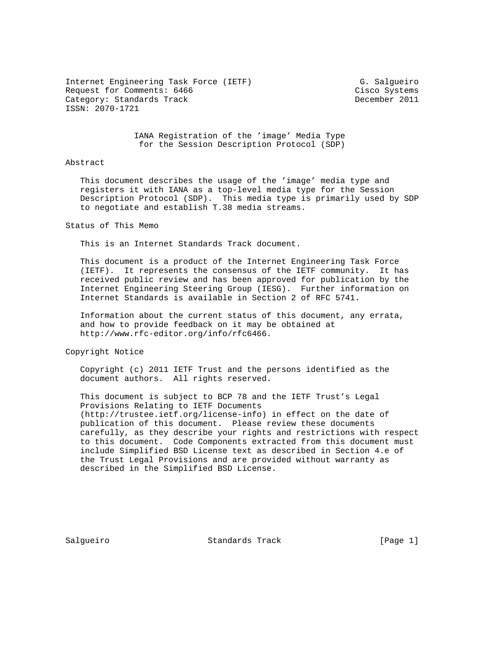Internet Engineering Task Force (IETF) G. Salgueiro Request for Comments: 6466 Cisco Systems Category: Standards Track december 2011 ISSN: 2070-1721

 IANA Registration of the 'image' Media Type for the Session Description Protocol (SDP)

## Abstract

 This document describes the usage of the 'image' media type and registers it with IANA as a top-level media type for the Session Description Protocol (SDP). This media type is primarily used by SDP to negotiate and establish T.38 media streams.

## Status of This Memo

This is an Internet Standards Track document.

 This document is a product of the Internet Engineering Task Force (IETF). It represents the consensus of the IETF community. It has received public review and has been approved for publication by the Internet Engineering Steering Group (IESG). Further information on Internet Standards is available in Section 2 of RFC 5741.

 Information about the current status of this document, any errata, and how to provide feedback on it may be obtained at http://www.rfc-editor.org/info/rfc6466.

Copyright Notice

 Copyright (c) 2011 IETF Trust and the persons identified as the document authors. All rights reserved.

 This document is subject to BCP 78 and the IETF Trust's Legal Provisions Relating to IETF Documents (http://trustee.ietf.org/license-info) in effect on the date of publication of this document. Please review these documents carefully, as they describe your rights and restrictions with respect to this document. Code Components extracted from this document must include Simplified BSD License text as described in Section 4.e of the Trust Legal Provisions and are provided without warranty as described in the Simplified BSD License.

Salgueiro Standards Track [Page 1]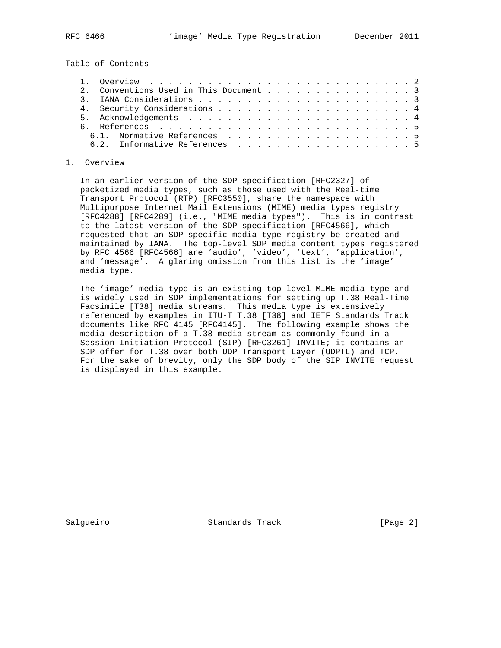Table of Contents

|  | 2. Conventions Used in This Document 3 |  |  |  |
|--|----------------------------------------|--|--|--|
|  |                                        |  |  |  |
|  |                                        |  |  |  |
|  |                                        |  |  |  |
|  |                                        |  |  |  |
|  | 6.1. Normative References 5            |  |  |  |
|  | 6.2. Informative References 5          |  |  |  |

## 1. Overview

 In an earlier version of the SDP specification [RFC2327] of packetized media types, such as those used with the Real-time Transport Protocol (RTP) [RFC3550], share the namespace with Multipurpose Internet Mail Extensions (MIME) media types registry [RFC4288] [RFC4289] (i.e., "MIME media types"). This is in contrast to the latest version of the SDP specification [RFC4566], which requested that an SDP-specific media type registry be created and maintained by IANA. The top-level SDP media content types registered by RFC 4566 [RFC4566] are 'audio', 'video', 'text', 'application', and 'message'. A glaring omission from this list is the 'image' media type.

 The 'image' media type is an existing top-level MIME media type and is widely used in SDP implementations for setting up T.38 Real-Time Facsimile [T38] media streams. This media type is extensively referenced by examples in ITU-T T.38 [T38] and IETF Standards Track documents like RFC 4145 [RFC4145]. The following example shows the media description of a T.38 media stream as commonly found in a Session Initiation Protocol (SIP) [RFC3261] INVITE; it contains an SDP offer for T.38 over both UDP Transport Layer (UDPTL) and TCP. For the sake of brevity, only the SDP body of the SIP INVITE request is displayed in this example.

Salgueiro Standards Track [Page 2]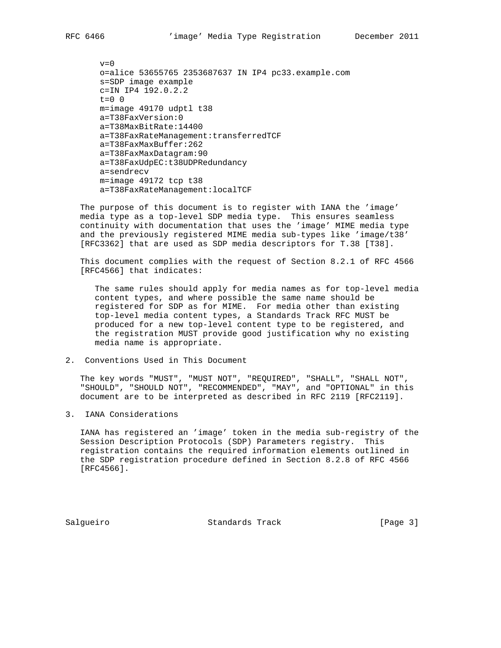```
v=0 o=alice 53655765 2353687637 IN IP4 pc33.example.com
 s=SDP image example
 c=IN IP4 192.0.2.2
t=0 0
 m=image 49170 udptl t38
 a=T38FaxVersion:0
 a=T38MaxBitRate:14400
 a=T38FaxRateManagement:transferredTCF
 a=T38FaxMaxBuffer:262
 a=T38FaxMaxDatagram:90
 a=T38FaxUdpEC:t38UDPRedundancy
 a=sendrecv
 m=image 49172 tcp t38
 a=T38FaxRateManagement:localTCF
```
 The purpose of this document is to register with IANA the 'image' media type as a top-level SDP media type. This ensures seamless continuity with documentation that uses the 'image' MIME media type and the previously registered MIME media sub-types like 'image/t38' [RFC3362] that are used as SDP media descriptors for T.38 [T38].

 This document complies with the request of Section 8.2.1 of RFC 4566 [RFC4566] that indicates:

 The same rules should apply for media names as for top-level media content types, and where possible the same name should be registered for SDP as for MIME. For media other than existing top-level media content types, a Standards Track RFC MUST be produced for a new top-level content type to be registered, and the registration MUST provide good justification why no existing media name is appropriate.

2. Conventions Used in This Document

 The key words "MUST", "MUST NOT", "REQUIRED", "SHALL", "SHALL NOT", "SHOULD", "SHOULD NOT", "RECOMMENDED", "MAY", and "OPTIONAL" in this document are to be interpreted as described in RFC 2119 [RFC2119].

3. IANA Considerations

 IANA has registered an 'image' token in the media sub-registry of the Session Description Protocols (SDP) Parameters registry. This registration contains the required information elements outlined in the SDP registration procedure defined in Section 8.2.8 of RFC 4566 [RFC4566].

Salgueiro Standards Track [Page 3]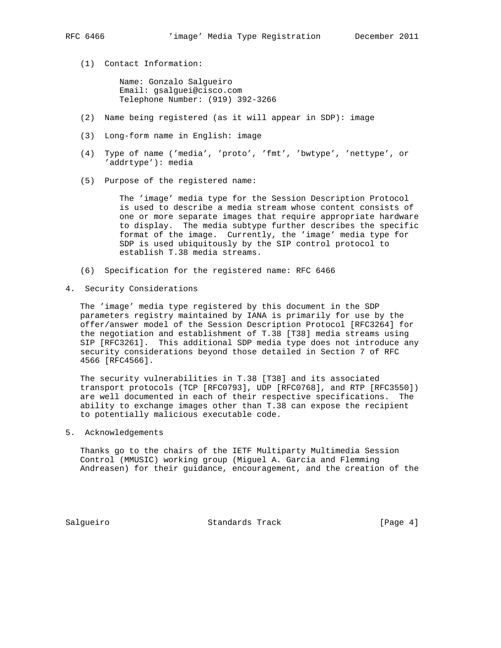(1) Contact Information:

 Name: Gonzalo Salgueiro Email: gsalguei@cisco.com Telephone Number: (919) 392-3266

- (2) Name being registered (as it will appear in SDP): image
- (3) Long-form name in English: image
- (4) Type of name ('media', 'proto', 'fmt', 'bwtype', 'nettype', or 'addrtype'): media
- (5) Purpose of the registered name:

 The 'image' media type for the Session Description Protocol is used to describe a media stream whose content consists of one or more separate images that require appropriate hardware to display. The media subtype further describes the specific format of the image. Currently, the 'image' media type for SDP is used ubiquitously by the SIP control protocol to establish T.38 media streams.

- (6) Specification for the registered name: RFC 6466
- 4. Security Considerations

 The 'image' media type registered by this document in the SDP parameters registry maintained by IANA is primarily for use by the offer/answer model of the Session Description Protocol [RFC3264] for the negotiation and establishment of T.38 [T38] media streams using SIP [RFC3261]. This additional SDP media type does not introduce any security considerations beyond those detailed in Section 7 of RFC 4566 [RFC4566].

 The security vulnerabilities in T.38 [T38] and its associated transport protocols (TCP [RFC0793], UDP [RFC0768], and RTP [RFC3550]) are well documented in each of their respective specifications. The ability to exchange images other than T.38 can expose the recipient to potentially malicious executable code.

5. Acknowledgements

 Thanks go to the chairs of the IETF Multiparty Multimedia Session Control (MMUSIC) working group (Miguel A. Garcia and Flemming Andreasen) for their guidance, encouragement, and the creation of the

Salgueiro Standards Track [Page 4]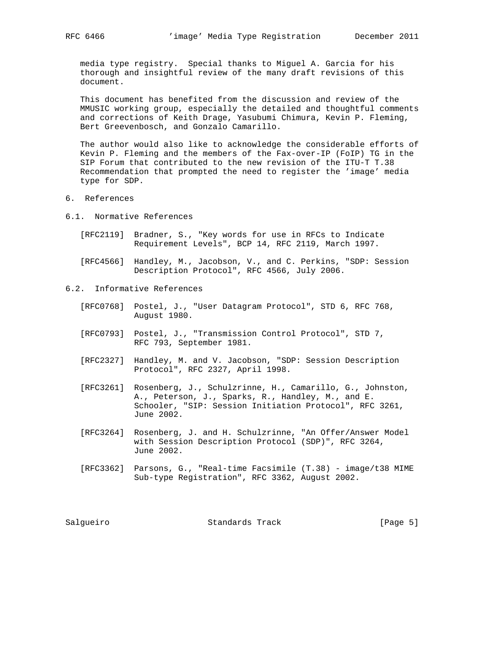media type registry. Special thanks to Miguel A. Garcia for his thorough and insightful review of the many draft revisions of this document.

 This document has benefited from the discussion and review of the MMUSIC working group, especially the detailed and thoughtful comments and corrections of Keith Drage, Yasubumi Chimura, Kevin P. Fleming, Bert Greevenbosch, and Gonzalo Camarillo.

 The author would also like to acknowledge the considerable efforts of Kevin P. Fleming and the members of the Fax-over-IP (FoIP) TG in the SIP Forum that contributed to the new revision of the ITU-T T.38 Recommendation that prompted the need to register the 'image' media type for SDP.

- 6. References
- 6.1. Normative References
	- [RFC2119] Bradner, S., "Key words for use in RFCs to Indicate Requirement Levels", BCP 14, RFC 2119, March 1997.
	- [RFC4566] Handley, M., Jacobson, V., and C. Perkins, "SDP: Session Description Protocol", RFC 4566, July 2006.
- 6.2. Informative References
	- [RFC0768] Postel, J., "User Datagram Protocol", STD 6, RFC 768, August 1980.
	- [RFC0793] Postel, J., "Transmission Control Protocol", STD 7, RFC 793, September 1981.
	- [RFC2327] Handley, M. and V. Jacobson, "SDP: Session Description Protocol", RFC 2327, April 1998.
	- [RFC3261] Rosenberg, J., Schulzrinne, H., Camarillo, G., Johnston, A., Peterson, J., Sparks, R., Handley, M., and E. Schooler, "SIP: Session Initiation Protocol", RFC 3261, June 2002.
	- [RFC3264] Rosenberg, J. and H. Schulzrinne, "An Offer/Answer Model with Session Description Protocol (SDP)", RFC 3264, June 2002.
	- [RFC3362] Parsons, G., "Real-time Facsimile (T.38) image/t38 MIME Sub-type Registration", RFC 3362, August 2002.

Salgueiro Standards Track [Page 5]